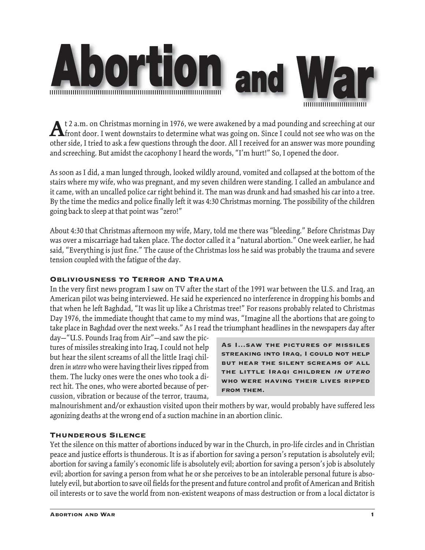



**A**t 2 a.m. on Christmas morning in 1976, we were awakened by a mad pounding and screeching at our front door. I went downstairs to determine what was going on. Since I could not see who was on the other side, I tried to ask a few questions through the door. All I received for an answer was more pounding and screeching. But amidst the cacophony I heard the words, "I'm hurt!" So, I opened the door.

As soon as I did, a man lunged through, looked wildly around, vomited and collapsed at the bottom of the stairs where my wife, who was pregnant, and my seven children were standing. I called an ambulance and it came, with an uncalled police car right behind it. The man was drunk and had smashed his car into a tree. By the time the medics and police finally left it was 4:30 Christmas morning. The possibility of the children going back to sleep at that point was "zero!"

About 4:30 that Christmas afternoon my wife, Mary, told me there was "bleeding." Before Christmas Day was over a miscarriage had taken place. The doctor called it a "natural abortion." One week earlier, he had said, "Everything is just fine." The cause of the Christmas loss he said was probably the trauma and severe tension coupled with the fatigue of the day.

## Obliviousness to Terror and Trauma

In the very first news program I saw on TV after the start of the 1991 war between the U.S. and Iraq, an American pilot was being interviewed. He said he experienced no interference in dropping his bombs and that when he left Baghdad, "It was lit up like a Christmas tree!" For reasons probably related to Christmas Day 1976, the immediate thought that came to my mind was, "Imagine all the abortions that are going to take place in Baghdad over the next weeks." As I read the triumphant headlines in the newspapers day after

day—"U.S. Pounds Iraq from Air"—and saw the pictures of missiles streaking into Iraq, I could not help but hear the silent screams of all the little Iraqi children *in utero* who were having their lives ripped from them. The lucky ones were the ones who took a direct hit. The ones, who were aborted because of percussion, vibration or because of the terror, trauma,

As I…saw the pictures of missiles streaking into Iraq, I could not help but hear the silent screams of all the little Iraqi children in utero who were having their lives ripped from them.

malnourishment and/or exhaustion visited upon their mothers by war, would probably have suffered less agonizing deaths at the wrong end of a suction machine in an abortion clinic.

# Thunderous Silence

Yet the silence on this matter of abortions induced by war in the Church, in pro-life circles and in Christian peace and justice efforts is thunderous. It is as if abortion for saving a person's reputation is absolutely evil; abortion for saving a family's economic life is absolutely evil; abortion for saving a person's job is absolutely evil; abortion for saving a person from what he or she perceives to be an intolerable personal future is absolutely evil, but abortion to save oil fields for the present and future control and profit of American and British oil interests or to save the world from non-existent weapons of mass destruction or from a local dictator is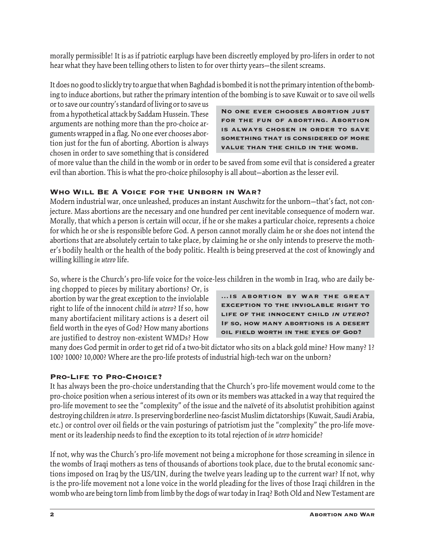morally permissible! It is as if patriotic earplugs have been discreetly employed by pro-lifers in order to not hear what they have been telling others to listen to for over thirty years—the silent screams.

It does no good to slickly try to argue that when Baghdad is bombed it is not the primary intention of the bombing to induce abortions, but rather the primary intention of the bombing is to save Kuwait or to save oil wells

or to save our country's standard of living or to save us from a hypothetical attack by Saddam Hussein. These arguments are nothing more than the pro-choice arguments wrapped in a flag. No one ever chooses abortion just for the fun of aborting. Abortion is always chosen in order to save something that is considered

No one ever chooses abortion just for the fun of aborting. Abortion is always chosen in order to save something that is considered of more value than the child in the womb.

of more value than the child in the womb or in order to be saved from some evil that is considered a greater evil than abortion. This is what the pro-choice philosophy is all about—abortion as the lesser evil.

## Who Will Be A Voice for the Unborn in War?

Modern industrial war, once unleashed, produces an instant Auschwitz for the unborn—that's fact, not conjecture. Mass abortions are the necessary and one hundred per cent inevitable consequence of modern war. Morally, that which a person is certain will occur, if he or she makes a particular choice, represents a choice for which he or she is responsible before God. A person cannot morally claim he or she does not intend the abortions that are absolutely certain to take place, by claiming he or she only intends to preserve the mother's bodily health or the health of the body politic. Health is being preserved at the cost of knowingly and willing killing *in utero* life.

So, where is the Church's pro-life voice for the voice-less children in the womb in Iraq, who are daily be-

ing chopped to pieces by military abortions? Or, is abortion by war the great exception to the inviolable right to life of the innocent child *in utero*? If so, how many abortifacient military actions is a desert oil field worth in the eyes of God? How many abortions are justified to destroy non-existent WMDs? How



many does God permit in order to get rid of a two-bit dictator who sits on a black gold mine? How many? 1? 100? 1000? 10,000? Where are the pro-life protests of industrial high-tech war on the unborn?

# PRO-LIFE TO PRO-CHOICE?

It has always been the pro-choice understanding that the Church's pro-life movement would come to the pro-choice position when a serious interest of its own or its members was attacked in a way that required the pro-life movement to see the "complexity" of the issue and the naïveté of its absolutist prohibition against destroying children *in utero*. Is preserving borderline neo-fascist Muslim dictatorships (Kuwait, Saudi Arabia, etc.) or control over oil fields or the vain posturings of patriotism just the "complexity" the pro-life movement or its leadership needs to find the exception to its total rejection of *in utero* homicide?

If not, why was the Church's pro-life movement not being a microphone for those screaming in silence in the wombs of Iraqi mothers as tens of thousands of abortions took place, due to the brutal economic sanctions imposed on Iraq by the US/UN, during the twelve years leading up to the current war? If not, why is the pro-life movement not a lone voice in the world pleading for the lives of those Iraqi children in the womb who are being torn limb from limb by the dogs of war today in Iraq? Both Old and New Testament are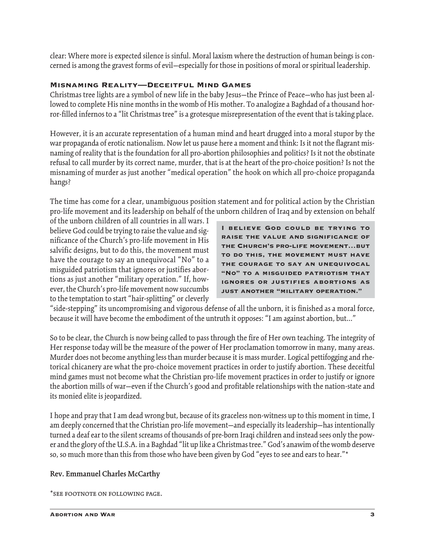clear: Where more is expected silence is sinful. Moral laxism where the destruction of human beings is concerned is among the gravest forms of evil—especially for those in positions of moral or spiritual leadership.

### Misnaming Reality—Deceitful Mind Games

Christmas tree lights are a symbol of new life in the baby Jesus—the Prince of Peace—who has just been allowed to complete His nine months in the womb of His mother. To analogize a Baghdad of a thousand horror-filled infernos to a "lit Christmas tree" is a grotesque misrepresentation of the event that is taking place.

However, it is an accurate representation of a human mind and heart drugged into a moral stupor by the war propaganda of erotic nationalism. Now let us pause here a moment and think: Is it not the flagrant misnaming of reality that is the foundation for all pro-abortion philosophies and politics? Is it not the obstinate refusal to call murder by its correct name, murder, that is at the heart of the pro-choice position? Is not the misnaming of murder as just another "medical operation" the hook on which all pro-choice propaganda hangs?

The time has come for a clear, unambiguous position statement and for political action by the Christian pro-life movement and its leadership on behalf of the unborn children of Iraq and by extension on behalf

of the unborn children of all countries in all wars. I believe God could be trying to raise the value and significance of the Church's pro-life movement in His salvific designs, but to do this, the movement must have the courage to say an unequivocal "No" to a misguided patriotism that ignores or justifies abortions as just another "military operation." If, however, the Church's pro-life movement now succumbs to the temptation to start "hair-splitting" or cleverly

I believe God could be trying to raise the value and significance of the Church's pro-life movement…but to do this, the movement must have the courage to say an unequivocal "No" to a misguided patriotism that ignores or justifies abortions as just another "military operation."

"side-stepping" its uncompromising and vigorous defense of all the unborn, it is finished as a moral force, because it will have become the embodiment of the untruth it opposes: "I am against abortion, but..."

So to be clear, the Church is now being called to pass through the fire of Her own teaching. The integrity of Her response today will be the measure of the power of Her proclamation tomorrow in many, many areas. Murder does not become anything less than murder because it is mass murder. Logical pettifogging and rhetorical chicanery are what the pro-choice movement practices in order to justify abortion. These deceitful mind games must not become what the Christian pro-life movement practices in order to justify or ignore the abortion mills of war—even if the Church's good and profitable relationships with the nation-state and its monied elite is jeopardized.

I hope and pray that I am dead wrong but, because of its graceless non-witness up to this moment in time, I am deeply concerned that the Christian pro-life movement—and especially its leadership—has intentionally turned a deaf ear to the silent screams of thousands of pre-born Iraqi children and instead sees only the power and the glory of the U.S.A. in a Baghdad "lit up like a Christmas tree." God's anawim of the womb deserve so, so much more than this from those who have been given by God "eyes to see and ears to hear."\*

### **Rev. Emmanuel Charles McCarthy**

\*see footnote on following page.